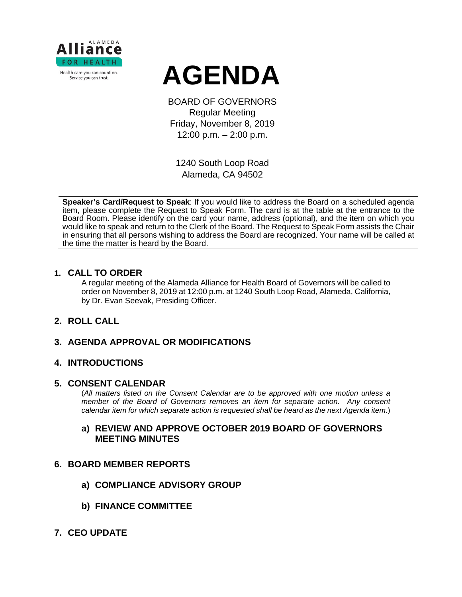

# **AGENDA**

BOARD OF GOVERNORS Regular Meeting Friday, November 8, 2019 12:00 p.m. – 2:00 p.m.

1240 South Loop Road Alameda, CA 94502

**Speaker's Card/Request to Speak**: If you would like to address the Board on a scheduled agenda item, please complete the Request to Speak Form. The card is at the table at the entrance to the Board Room. Please identify on the card your name, address (optional), and the item on which you would like to speak and return to the Clerk of the Board. The Request to Speak Form assists the Chair in ensuring that all persons wishing to address the Board are recognized. Your name will be called at the time the matter is heard by the Board.

#### **1. CALL TO ORDER**

A regular meeting of the Alameda Alliance for Health Board of Governors will be called to order on November 8, 2019 at 12:00 p.m. at 1240 South Loop Road, Alameda, California, by Dr. Evan Seevak, Presiding Officer.

## **2. ROLL CALL**

# **3. AGENDA APPROVAL OR MODIFICATIONS**

## **4. INTRODUCTIONS**

#### **5. CONSENT CALENDAR**

(*All matters listed on the Consent Calendar are to be approved with one motion unless a member of the Board of Governors removes an item for separate action. Any consent calendar item for which separate action is requested shall be heard as the next Agenda item.*)

## **a) REVIEW AND APPROVE OCTOBER 2019 BOARD OF GOVERNORS MEETING MINUTES**

#### **6. BOARD MEMBER REPORTS**

- **a) COMPLIANCE ADVISORY GROUP**
- **b) FINANCE COMMITTEE**
- **7. CEO UPDATE**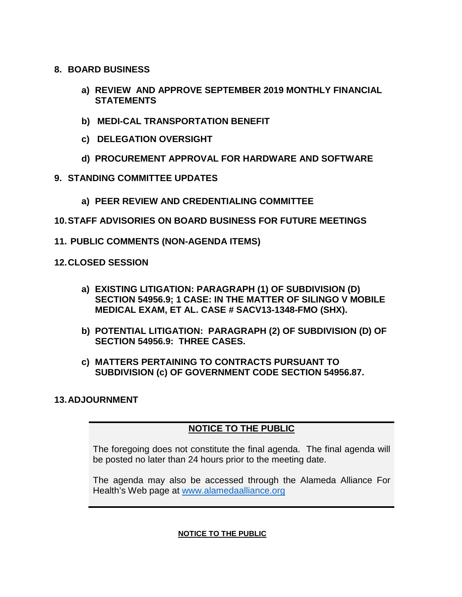- **8. BOARD BUSINESS**
	- **a) REVIEW AND APPROVE SEPTEMBER 2019 MONTHLY FINANCIAL STATEMENTS**
	- **b) MEDI-CAL TRANSPORTATION BENEFIT**
	- **c) DELEGATION OVERSIGHT**
	- **d) PROCUREMENT APPROVAL FOR HARDWARE AND SOFTWARE**
- **9. STANDING COMMITTEE UPDATES**
	- **a) PEER REVIEW AND CREDENTIALING COMMITTEE**
- **10.STAFF ADVISORIES ON BOARD BUSINESS FOR FUTURE MEETINGS**
- **11. PUBLIC COMMENTS (NON-AGENDA ITEMS)**
- **12.CLOSED SESSION**
	- **a) EXISTING LITIGATION: PARAGRAPH (1) OF SUBDIVISION (D) SECTION 54956.9; 1 CASE: IN THE MATTER OF SILINGO V MOBILE MEDICAL EXAM, ET AL. CASE # SACV13-1348-FMO (SHX).**
	- **b) POTENTIAL LITIGATION: PARAGRAPH (2) OF SUBDIVISION (D) OF SECTION 54956.9: THREE CASES.**
	- **c) MATTERS PERTAINING TO CONTRACTS PURSUANT TO SUBDIVISION (c) OF GOVERNMENT CODE SECTION 54956.87.**

## **13.ADJOURNMENT**

# **NOTICE TO THE PUBLIC**

The foregoing does not constitute the final agenda. The final agenda will be posted no later than 24 hours prior to the meeting date.

The agenda may also be accessed through the Alameda Alliance For Health's Web page at [www.alamedaalliance.org](http://www.alamedaalliance.org/)

#### **NOTICE TO THE PUBLIC**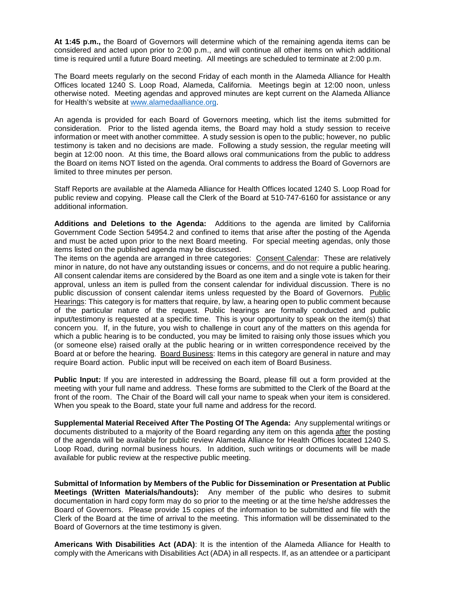**At 1:45 p.m.,** the Board of Governors will determine which of the remaining agenda items can be considered and acted upon prior to 2:00 p.m., and will continue all other items on which additional time is required until a future Board meeting. All meetings are scheduled to terminate at 2:00 p.m.

The Board meets regularly on the second Friday of each month in the Alameda Alliance for Health Offices located 1240 S. Loop Road, Alameda, California. Meetings begin at 12:00 noon, unless otherwise noted. Meeting agendas and approved minutes are kept current on the Alameda Alliance for Health's website at [www.alamedaalliance.org.](http://www.alamedaalliance.org/)

An agenda is provided for each Board of Governors meeting, which list the items submitted for consideration. Prior to the listed agenda items, the Board may hold a study session to receive information or meet with another committee. A study session is open to the public; however, no public testimony is taken and no decisions are made. Following a study session, the regular meeting will begin at 12:00 noon. At this time, the Board allows oral communications from the public to address the Board on items NOT listed on the agenda. Oral comments to address the Board of Governors are limited to three minutes per person.

Staff Reports are available at the Alameda Alliance for Health Offices located 1240 S. Loop Road for public review and copying. Please call the Clerk of the Board at 510-747-6160 for assistance or any additional information.

**Additions and Deletions to the Agenda:** Additions to the agenda are limited by California Government Code Section 54954.2 and confined to items that arise after the posting of the Agenda and must be acted upon prior to the next Board meeting. For special meeting agendas, only those items listed on the published agenda may be discussed.

The items on the agenda are arranged in three categories: Consent Calendar: These are relatively minor in nature, do not have any outstanding issues or concerns, and do not require a public hearing. All consent calendar items are considered by the Board as one item and a single vote is taken for their approval, unless an item is pulled from the consent calendar for individual discussion. There is no public discussion of consent calendar items unless requested by the Board of Governors. Public Hearings: This category is for matters that require, by law, a hearing open to public comment because of the particular nature of the request. Public hearings are formally conducted and public input/testimony is requested at a specific time. This is your opportunity to speak on the item(s) that concern you. If, in the future, you wish to challenge in court any of the matters on this agenda for which a public hearing is to be conducted, you may be limited to raising only those issues which you (or someone else) raised orally at the public hearing or in written correspondence received by the Board at or before the hearing. Board Business: Items in this category are general in nature and may require Board action. Public input will be received on each item of Board Business.

**Public Input:** If you are interested in addressing the Board, please fill out a form provided at the meeting with your full name and address. These forms are submitted to the Clerk of the Board at the front of the room. The Chair of the Board will call your name to speak when your item is considered. When you speak to the Board, state your full name and address for the record.

**Supplemental Material Received After The Posting Of The Agenda:** Any supplemental writings or documents distributed to a majority of the Board regarding any item on this agenda after the posting of the agenda will be available for public review Alameda Alliance for Health Offices located 1240 S. Loop Road, during normal business hours. In addition, such writings or documents will be made available for public review at the respective public meeting.

**Submittal of Information by Members of the Public for Dissemination or Presentation at Public Meetings (Written Materials/handouts):** Any member of the public who desires to submit documentation in hard copy form may do so prior to the meeting or at the time he/she addresses the Board of Governors. Please provide 15 copies of the information to be submitted and file with the Clerk of the Board at the time of arrival to the meeting. This information will be disseminated to the Board of Governors at the time testimony is given.

**Americans With Disabilities Act (ADA)**: It is the intention of the Alameda Alliance for Health to comply with the Americans with Disabilities Act (ADA) in all respects. If, as an attendee or a participant